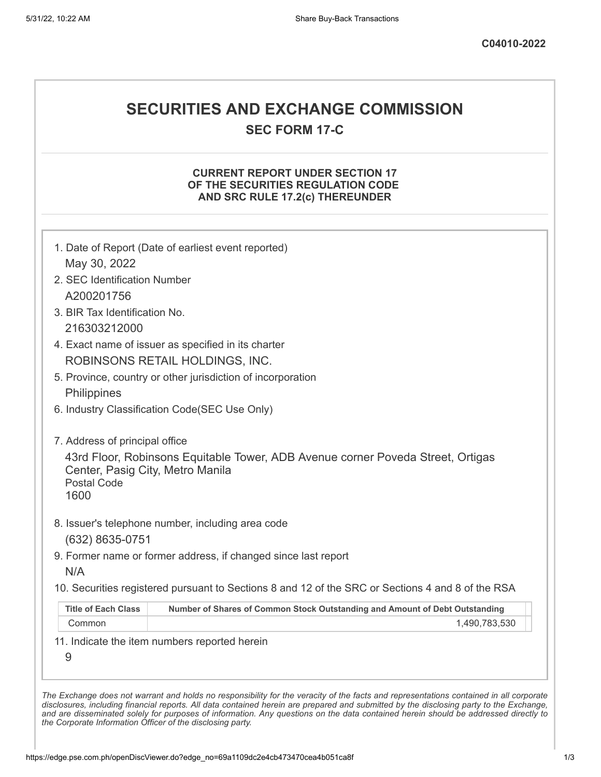# **SECURITIES AND EXCHANGE COMMISSION**

**SEC FORM 17-C**

### **CURRENT REPORT UNDER SECTION 17 OF THE SECURITIES REGULATION CODE AND SRC RULE 17.2(c) THEREUNDER**

| May 30, 2022<br>2. SEC Identification Number                   |                                                                                                   |
|----------------------------------------------------------------|---------------------------------------------------------------------------------------------------|
| A200201756                                                     |                                                                                                   |
| 3. BIR Tax Identification No.                                  |                                                                                                   |
| 216303212000                                                   |                                                                                                   |
|                                                                | 4. Exact name of issuer as specified in its charter                                               |
|                                                                | ROBINSONS RETAIL HOLDINGS, INC.                                                                   |
|                                                                | 5. Province, country or other jurisdiction of incorporation                                       |
| Philippines                                                    |                                                                                                   |
|                                                                | 6. Industry Classification Code(SEC Use Only)                                                     |
| 7. Address of principal office                                 |                                                                                                   |
| Center, Pasig City, Metro Manila<br><b>Postal Code</b><br>1600 | 43rd Floor, Robinsons Equitable Tower, ADB Avenue corner Poveda Street, Ortigas                   |
|                                                                | 8. Issuer's telephone number, including area code                                                 |
| (632) 8635-0751                                                | 9. Former name or former address, if changed since last report                                    |
| N/A                                                            |                                                                                                   |
|                                                                | 10. Securities registered pursuant to Sections 8 and 12 of the SRC or Sections 4 and 8 of the RSA |
|                                                                | Number of Shares of Common Stock Outstanding and Amount of Debt Outstanding                       |
| <b>Title of Each Class</b>                                     |                                                                                                   |
| Common                                                         | 1,490,783,530                                                                                     |

*the Corporate Information Officer of the disclosing party.*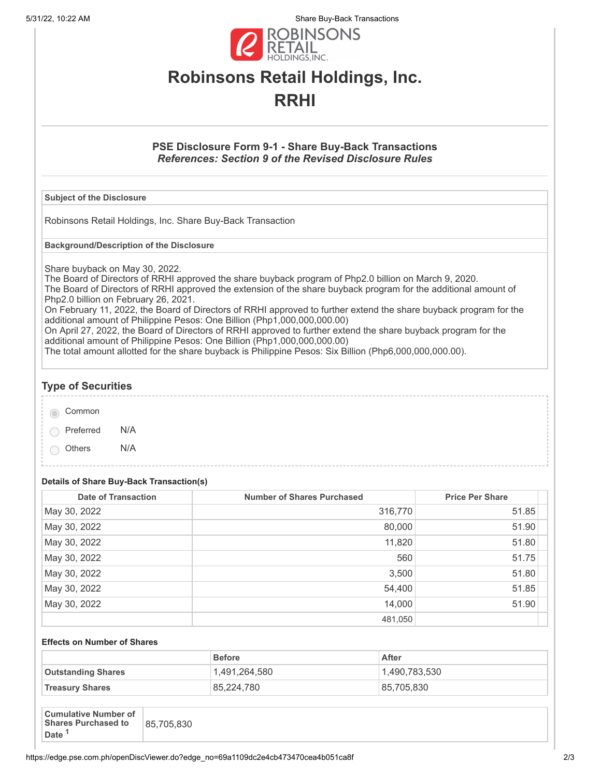5/31/22, 10:22 AM Share Buy-Back Transactions



# **Robinsons Retail Holdings, Inc. RRHI**

# **PSE Disclosure Form 9-1 - Share Buy-Back Transactions** *References: Section 9 of the Revised Disclosure Rules*

#### **Subject of the Disclosure**

Robinsons Retail Holdings, Inc. Share Buy-Back Transaction

**Background/Description of the Disclosure**

Share buyback on May 30, 2022.

The Board of Directors of RRHI approved the share buyback program of Php2.0 billion on March 9, 2020. The Board of Directors of RRHI approved the extension of the share buyback program for the additional amount of Php2.0 billion on February 26, 2021.

On February 11, 2022, the Board of Directors of RRHI approved to further extend the share buyback program for the additional amount of Philippine Pesos: One Billion (Php1,000,000,000.00)

On April 27, 2022, the Board of Directors of RRHI approved to further extend the share buyback program for the additional amount of Philippine Pesos: One Billion (Php1,000,000,000.00)

The total amount allotted for the share buyback is Philippine Pesos: Six Billion (Php6,000,000,000.00).

# **Type of Securities**

Common

Preferred N/A

Others N/A

### **Details of Share Buy-Back Transaction(s)**

| <b>Date of Transaction</b> | <b>Number of Shares Purchased</b> | <b>Price Per Share</b> |
|----------------------------|-----------------------------------|------------------------|
| May 30, 2022               | 316,770                           | 51.85                  |
| May 30, 2022               | 80,000                            | 51.90                  |
| May 30, 2022               | 11,820                            | 51.80                  |
| May 30, 2022               | 560                               | 51.75                  |
| May 30, 2022               | 3,500                             | 51.80                  |
| May 30, 2022               | 54,400                            | 51.85                  |
| May 30, 2022               | 14,000                            | 51.90                  |
|                            | 481,050                           |                        |

#### **Effects on Number of Shares**

|                           | <b>Before</b> | After         |
|---------------------------|---------------|---------------|
| <b>Outstanding Shares</b> | 1.491.264.580 | 1,490,783,530 |
| <b>Treasury Shares</b>    | 85,224,780    | 85,705,830    |

| <b>Cumulative Number of</b><br>Shares Purchased to<br>85,705,830<br><b>Date</b> |
|---------------------------------------------------------------------------------|
|---------------------------------------------------------------------------------|